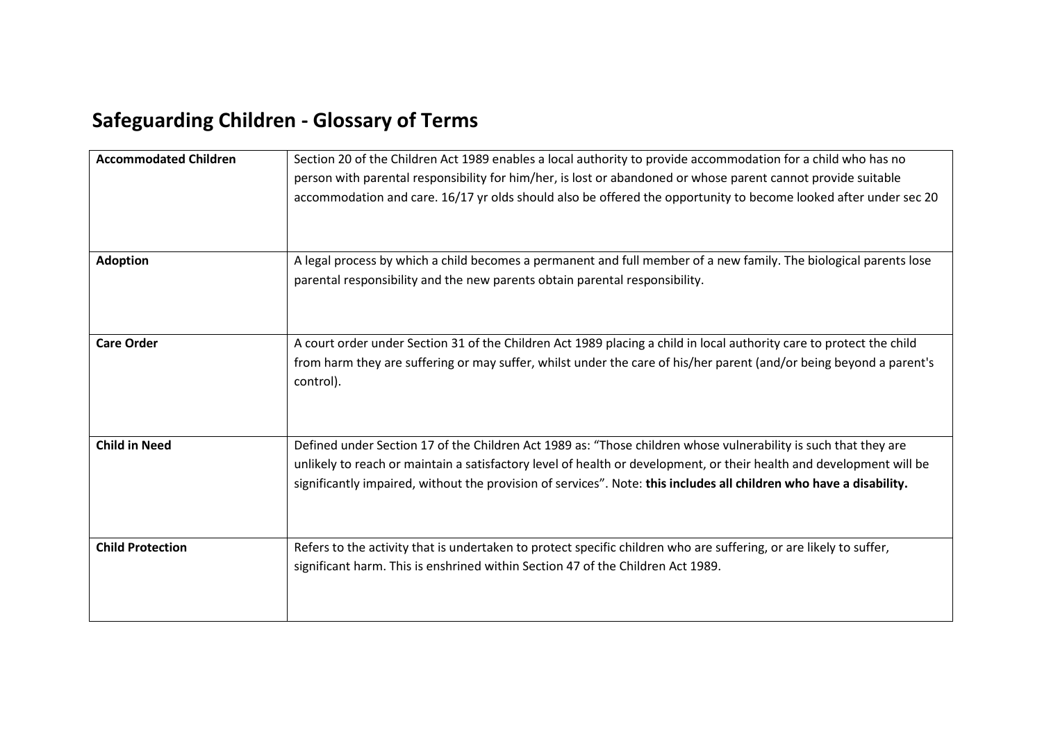## **Safeguarding Children - Glossary of Terms**

| <b>Accommodated Children</b> | Section 20 of the Children Act 1989 enables a local authority to provide accommodation for a child who has no<br>person with parental responsibility for him/her, is lost or abandoned or whose parent cannot provide suitable<br>accommodation and care. 16/17 yr olds should also be offered the opportunity to become looked after under sec 20             |
|------------------------------|----------------------------------------------------------------------------------------------------------------------------------------------------------------------------------------------------------------------------------------------------------------------------------------------------------------------------------------------------------------|
| <b>Adoption</b>              | A legal process by which a child becomes a permanent and full member of a new family. The biological parents lose<br>parental responsibility and the new parents obtain parental responsibility.                                                                                                                                                               |
| <b>Care Order</b>            | A court order under Section 31 of the Children Act 1989 placing a child in local authority care to protect the child<br>from harm they are suffering or may suffer, whilst under the care of his/her parent (and/or being beyond a parent's<br>control).                                                                                                       |
| <b>Child in Need</b>         | Defined under Section 17 of the Children Act 1989 as: "Those children whose vulnerability is such that they are<br>unlikely to reach or maintain a satisfactory level of health or development, or their health and development will be<br>significantly impaired, without the provision of services". Note: this includes all children who have a disability. |
| <b>Child Protection</b>      | Refers to the activity that is undertaken to protect specific children who are suffering, or are likely to suffer,<br>significant harm. This is enshrined within Section 47 of the Children Act 1989.                                                                                                                                                          |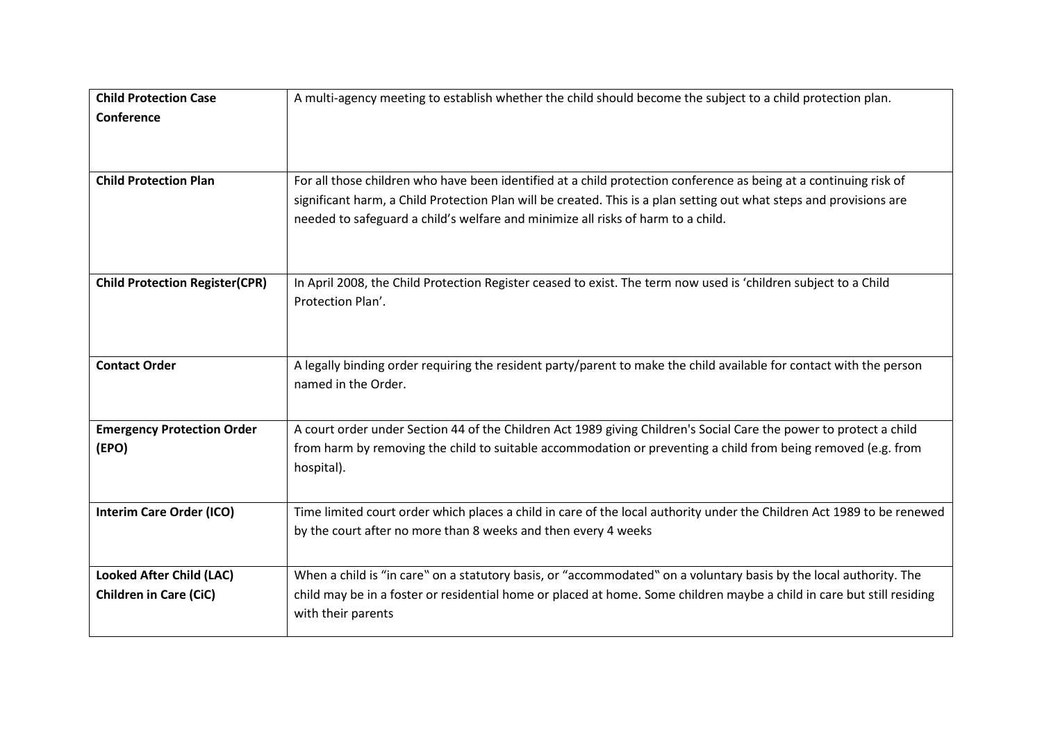| <b>Child Protection Case</b>          | A multi-agency meeting to establish whether the child should become the subject to a child protection plan.            |
|---------------------------------------|------------------------------------------------------------------------------------------------------------------------|
| Conference                            |                                                                                                                        |
|                                       |                                                                                                                        |
|                                       |                                                                                                                        |
|                                       |                                                                                                                        |
| <b>Child Protection Plan</b>          | For all those children who have been identified at a child protection conference as being at a continuing risk of      |
|                                       | significant harm, a Child Protection Plan will be created. This is a plan setting out what steps and provisions are    |
|                                       | needed to safeguard a child's welfare and minimize all risks of harm to a child.                                       |
|                                       |                                                                                                                        |
|                                       |                                                                                                                        |
| <b>Child Protection Register(CPR)</b> | In April 2008, the Child Protection Register ceased to exist. The term now used is 'children subject to a Child        |
|                                       | Protection Plan'.                                                                                                      |
|                                       |                                                                                                                        |
|                                       |                                                                                                                        |
|                                       |                                                                                                                        |
| <b>Contact Order</b>                  | A legally binding order requiring the resident party/parent to make the child available for contact with the person    |
|                                       | named in the Order.                                                                                                    |
|                                       |                                                                                                                        |
| <b>Emergency Protection Order</b>     | A court order under Section 44 of the Children Act 1989 giving Children's Social Care the power to protect a child     |
| (EPO)                                 | from harm by removing the child to suitable accommodation or preventing a child from being removed (e.g. from          |
|                                       | hospital).                                                                                                             |
|                                       |                                                                                                                        |
|                                       |                                                                                                                        |
| <b>Interim Care Order (ICO)</b>       | Time limited court order which places a child in care of the local authority under the Children Act 1989 to be renewed |
|                                       | by the court after no more than 8 weeks and then every 4 weeks                                                         |
|                                       |                                                                                                                        |
| <b>Looked After Child (LAC)</b>       | When a child is "in care" on a statutory basis, or "accommodated" on a voluntary basis by the local authority. The     |
| <b>Children in Care (CiC)</b>         | child may be in a foster or residential home or placed at home. Some children maybe a child in care but still residing |
|                                       | with their parents                                                                                                     |
|                                       |                                                                                                                        |
|                                       |                                                                                                                        |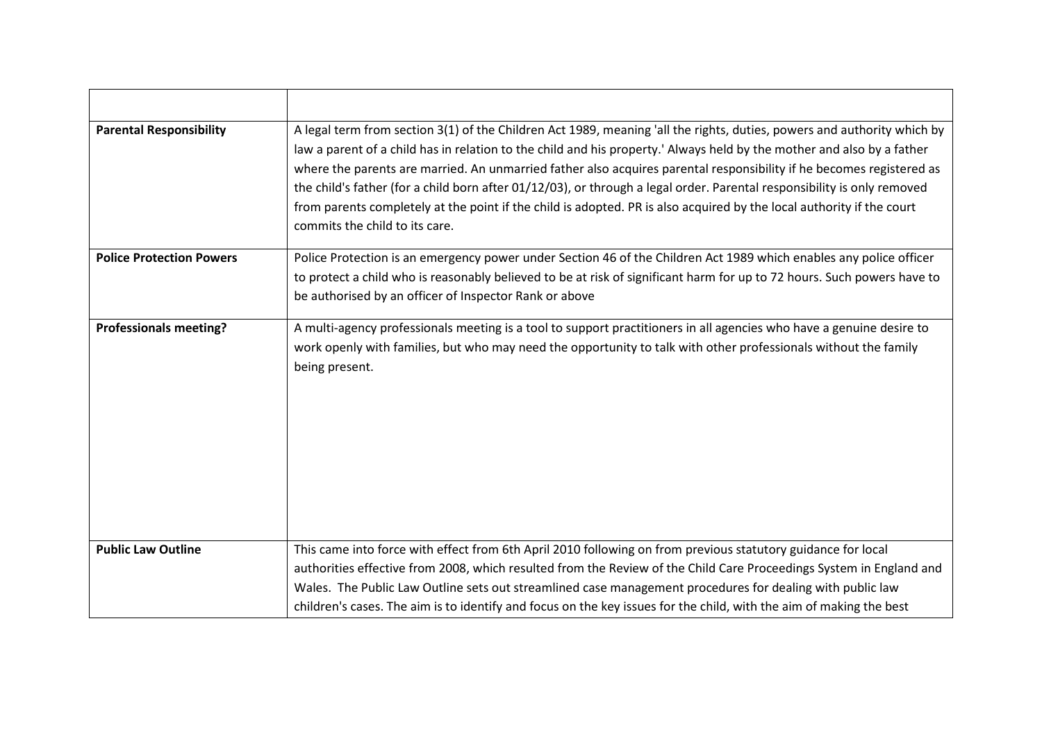| <b>Parental Responsibility</b>  | A legal term from section 3(1) of the Children Act 1989, meaning 'all the rights, duties, powers and authority which by<br>law a parent of a child has in relation to the child and his property.' Always held by the mother and also by a father<br>where the parents are married. An unmarried father also acquires parental responsibility if he becomes registered as<br>the child's father (for a child born after 01/12/03), or through a legal order. Parental responsibility is only removed<br>from parents completely at the point if the child is adopted. PR is also acquired by the local authority if the court<br>commits the child to its care. |
|---------------------------------|-----------------------------------------------------------------------------------------------------------------------------------------------------------------------------------------------------------------------------------------------------------------------------------------------------------------------------------------------------------------------------------------------------------------------------------------------------------------------------------------------------------------------------------------------------------------------------------------------------------------------------------------------------------------|
| <b>Police Protection Powers</b> | Police Protection is an emergency power under Section 46 of the Children Act 1989 which enables any police officer<br>to protect a child who is reasonably believed to be at risk of significant harm for up to 72 hours. Such powers have to<br>be authorised by an officer of Inspector Rank or above                                                                                                                                                                                                                                                                                                                                                         |
| <b>Professionals meeting?</b>   | A multi-agency professionals meeting is a tool to support practitioners in all agencies who have a genuine desire to<br>work openly with families, but who may need the opportunity to talk with other professionals without the family<br>being present.                                                                                                                                                                                                                                                                                                                                                                                                       |
| <b>Public Law Outline</b>       | This came into force with effect from 6th April 2010 following on from previous statutory guidance for local<br>authorities effective from 2008, which resulted from the Review of the Child Care Proceedings System in England and<br>Wales. The Public Law Outline sets out streamlined case management procedures for dealing with public law<br>children's cases. The aim is to identify and focus on the key issues for the child, with the aim of making the best                                                                                                                                                                                         |